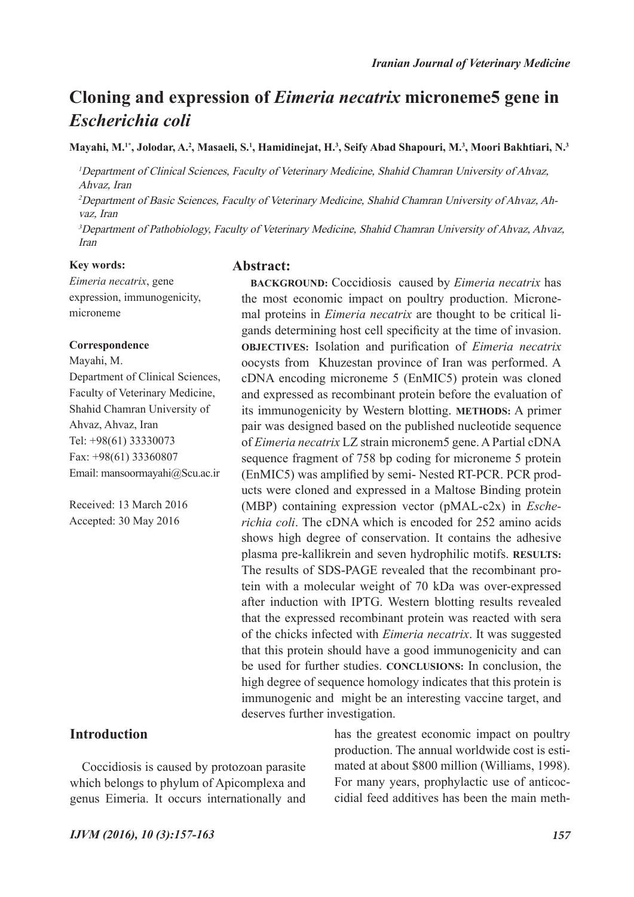## **Cloning and expression of** *Eimeria necatrix* **microneme5 gene in**  *Escherichia coli*

**Mayahi, M.1\*, Jolodar, A.2 , Masaeli, S.1 , Hamidinejat, H.3 , Seify Abad Shapouri, M.<sup>3</sup> , Moori Bakhtiari, N.3**

<sup>1</sup>Department of Clinical Sciences, Faculty of Veterinary Medicine, Shahid Chamran University of Ahvaz, Ahvaz, Iran

2Department of Basic Sciences, Faculty of Veterinary Medicine, Shahid Chamran University of Ahvaz, Ahvaz, Iran

<sup>3</sup>Department of Pathobiology, Faculty of Veterinary Medicine, Shahid Chamran University of Ahvaz, Ahvaz, Iran

#### **Key words:**

*Eimeria necatrix*, gene expression, immunogenicity, microneme

#### **Correspondence**

Mayahi, M. Department of Clinical Sciences, Faculty of Veterinary Medicine, Shahid Chamran University of Ahvaz, Ahvaz, Iran Tel: +98(61) 33330073 Fax: +98(61) 33360807 Email: mansoormayahi@Scu.ac.ir

Received: 13 March 2016 Accepted: 30 May 2016

#### **Introduction**

Coccidiosis is caused by protozoan parasite which belongs to phylum of Apicomplexa and genus Eimeria. It occurs internationally and

#### **Abstract:**

**BACKGROUND:** Coccidiosis caused by *Eimeria necatrix* has the most economic impact on poultry production. Micronemal proteins in *Eimeria necatrix* are thought to be critical ligands determining host cell specificity at the time of invasion. **OBJECTIVES:** Isolation and purification of *Eimeria necatrix* oocysts from Khuzestan province of Iran was performed. A cDNA encoding microneme 5 (EnMIC5) protein was cloned and expressed as recombinant protein before the evaluation of its immunogenicity by Western blotting. **METHODS:** A primer pair was designed based on the published nucleotide sequence of *Eimeria necatrix* LZ strain micronem5 gene. A Partial cDNA sequence fragment of 758 bp coding for microneme 5 protein (EnMIC5) was amplified by semi- Nested RT-PCR. PCR products were cloned and expressed in a Maltose Binding protein (MBP) containing expression vector (pMAL-c2x) in *Escherichia coli*. The cDNA which is encoded for 252 amino acids shows high degree of conservation. It contains the adhesive plasma pre-kallikrein and seven hydrophilic motifs. **RESULTS:**  The results of SDS-PAGE revealed that the recombinant protein with a molecular weight of 70 kDa was over-expressed after induction with IPTG. Western blotting results revealed that the expressed recombinant protein was reacted with sera of the chicks infected with *Eimeria necatrix*. It was suggested that this protein should have a good immunogenicity and can be used for further studies. **CONCLUSIONS:** In conclusion, the high degree of sequence homology indicates that this protein is immunogenic and might be an interesting vaccine target, and deserves further investigation.

> has the greatest economic impact on poultry production. The annual worldwide cost is estimated at about \$800 million (Williams, 1998). For many years, prophylactic use of anticoccidial feed additives has been the main meth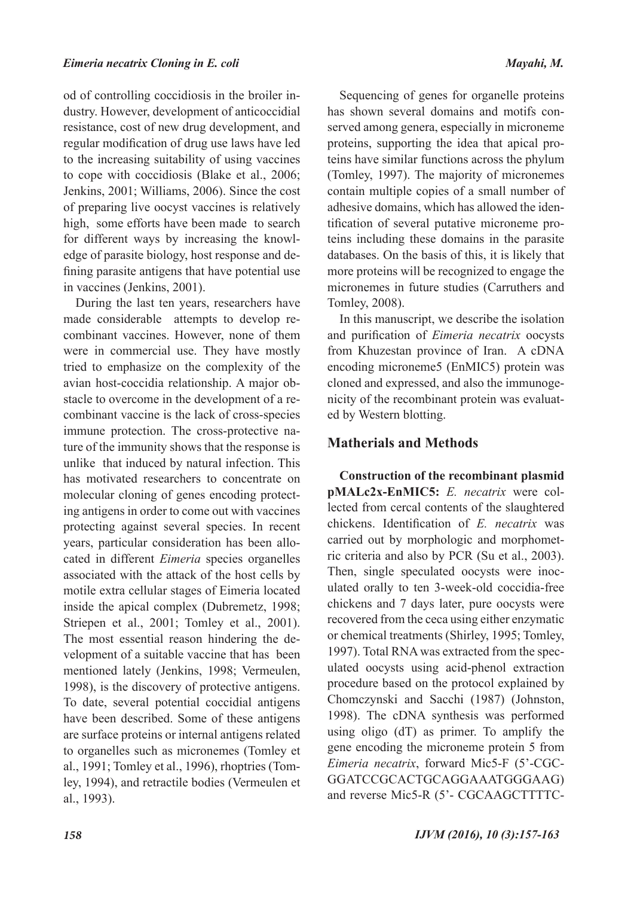od of controlling coccidiosis in the broiler industry. However, development of anticoccidial resistance, cost of new drug development, and regular modification of drug use laws have led to the increasing suitability of using vaccines to cope with coccidiosis (Blake et al., 2006; Jenkins, 2001; Williams, 2006). Since the cost of preparing live oocyst vaccines is relatively high, some efforts have been made to search for different ways by increasing the knowledge of parasite biology, host response and defining parasite antigens that have potential use in vaccines (Jenkins, 2001).

During the last ten years, researchers have made considerable attempts to develop recombinant vaccines. However, none of them were in commercial use. They have mostly tried to emphasize on the complexity of the avian host-coccidia relationship. A major obstacle to overcome in the development of a recombinant vaccine is the lack of cross-species immune protection. The cross-protective nature of the immunity shows that the response is unlike that induced by natural infection. This has motivated researchers to concentrate on molecular cloning of genes encoding protecting antigens in order to come out with vaccines protecting against several species. In recent years, particular consideration has been allocated in different *Eimeria* species organelles associated with the attack of the host cells by motile extra cellular stages of Eimeria located inside the apical complex (Dubremetz, 1998; Striepen et al., 2001; Tomley et al., 2001). The most essential reason hindering the development of a suitable vaccine that has been mentioned lately (Jenkins, 1998; Vermeulen, 1998), is the discovery of protective antigens. To date, several potential coccidial antigens have been described. Some of these antigens are surface proteins or internal antigens related to organelles such as micronemes (Tomley et al., 1991; Tomley et al., 1996), rhoptries (Tomley, 1994), and retractile bodies (Vermeulen et al., 1993).

Sequencing of genes for organelle proteins has shown several domains and motifs conserved among genera, especially in microneme proteins, supporting the idea that apical proteins have similar functions across the phylum (Tomley, 1997). The majority of micronemes contain multiple copies of a small number of adhesive domains, which has allowed the identification of several putative microneme proteins including these domains in the parasite databases. On the basis of this, it is likely that more proteins will be recognized to engage the micronemes in future studies (Carruthers and Tomley, 2008).

In this manuscript, we describe the isolation and purification of *Eimeria necatrix* oocysts from Khuzestan province of Iran. A cDNA encoding microneme5 (EnMIC5) protein was cloned and expressed, and also the immunogenicity of the recombinant protein was evaluated by Western blotting.

### **Matherials and Methods**

**Construction of the recombinant plasmid pMALc2x-EnMIC5:** *E. necatrix* were collected from cercal contents of the slaughtered chickens. Identification of *E. necatrix* was carried out by morphologic and morphometric criteria and also by PCR (Su et al., 2003). Then, single speculated oocysts were inoculated orally to ten 3-week-old coccidia-free chickens and 7 days later, pure oocysts were recovered from the ceca using either enzymatic or chemical treatments (Shirley, 1995; Tomley, 1997). Total RNA was extracted from the speculated oocysts using acid-phenol extraction procedure based on the protocol explained by Chomczynski and Sacchi (1987) (Johnston, 1998). The cDNA synthesis was performed using oligo (dT) as primer. To amplify the gene encoding the microneme protein 5 from *Eimeria necatrix*, forward Mic5-F (5'-CGC-GGATCCGCACTGCAGGAAATGGGAAG) and reverse Mic5-R (5'- CGCAAGCTTTTC-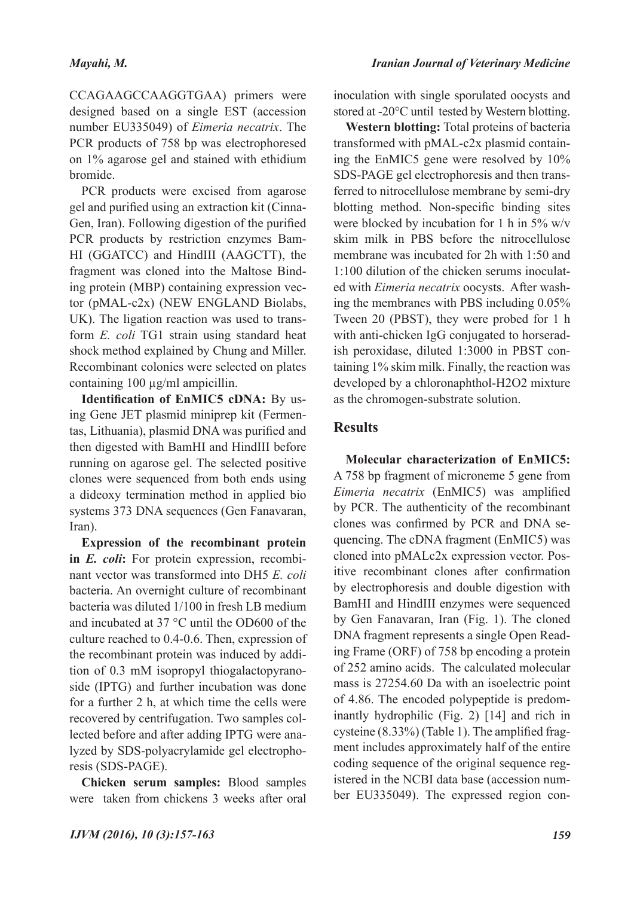CCAGAAGCCAAGGTGAA) primers were designed based on a single EST (accession number EU335049) of *Eimeria necatrix*. The PCR products of 758 bp was electrophoresed on 1% agarose gel and stained with ethidium bromide.

PCR products were excised from agarose gel and purified using an extraction kit (Cinna-Gen, Iran). Following digestion of the purified PCR products by restriction enzymes Bam-HI (GGATCC) and HindIII (AAGCTT), the fragment was cloned into the Maltose Binding protein (MBP) containing expression vector (pMAL-c2x) (NEW ENGLAND Biolabs, UK). The ligation reaction was used to transform *E. coli* TG1 strain using standard heat shock method explained by Chung and Miller. Recombinant colonies were selected on plates containing 100 µg/ml ampicillin.

**Identification of EnMIC5 cDNA:** By using Gene JET plasmid miniprep kit (Fermentas, Lithuania), plasmid DNA was purified and then digested with BamHI and HindIII before running on agarose gel. The selected positive clones were sequenced from both ends using a dideoxy termination method in applied bio systems 373 DNA sequences (Gen Fanavaran, Iran).

**Expression of the recombinant protein in** *E. coli***:** For protein expression, recombinant vector was transformed into DH5 *E. coli* bacteria. An overnight culture of recombinant bacteria was diluted 1/100 in fresh LB medium and incubated at 37 °C until the OD600 of the culture reached to 0.4-0.6. Then, expression of the recombinant protein was induced by addition of 0.3 mM isopropyl thiogalactopyranoside (IPTG) and further incubation was done for a further 2 h, at which time the cells were recovered by centrifugation. Two samples collected before and after adding IPTG were analyzed by SDS-polyacrylamide gel electrophoresis (SDS-PAGE).

**Chicken serum samples:** Blood samples were taken from chickens 3 weeks after oral

inoculation with single sporulated oocysts and stored at -20°C until tested by Western blotting.

**Western blotting:** Total proteins of bacteria transformed with pMAL-c2x plasmid containing the EnMIC5 gene were resolved by 10% SDS-PAGE gel electrophoresis and then transferred to nitrocellulose membrane by semi-dry blotting method. Non-specific binding sites were blocked by incubation for 1 h in 5% w/v skim milk in PBS before the nitrocellulose membrane was incubated for 2h with 1:50 and 1:100 dilution of the chicken serums inoculated with *Eimeria necatrix* oocysts. After washing the membranes with PBS including 0.05% Tween 20 (PBST), they were probed for 1 h with anti-chicken IgG conjugated to horseradish peroxidase, diluted 1:3000 in PBST containing 1% skim milk. Finally, the reaction was developed by a chloronaphthol-H2O2 mixture as the chromogen-substrate solution.

## **Results**

**Molecular characterization of EnMIC5:** A 758 bp fragment of microneme 5 gene from *Eimeria necatrix* (EnMIC5) was amplified by PCR. The authenticity of the recombinant clones was confirmed by PCR and DNA sequencing. The cDNA fragment (EnMIC5) was cloned into pMALc2x expression vector. Positive recombinant clones after confirmation by electrophoresis and double digestion with BamHI and HindIII enzymes were sequenced by Gen Fanavaran, Iran (Fig. 1). The cloned DNA fragment represents a single Open Reading Frame (ORF) of 758 bp encoding a protein of 252 amino acids. The calculated molecular mass is 27254.60 Da with an isoelectric point of 4.86. The encoded polypeptide is predominantly hydrophilic (Fig. 2) [14] and rich in cysteine (8.33%) (Table 1). The amplified fragment includes approximately half of the entire coding sequence of the original sequence registered in the NCBI data base (accession number EU335049). The expressed region con-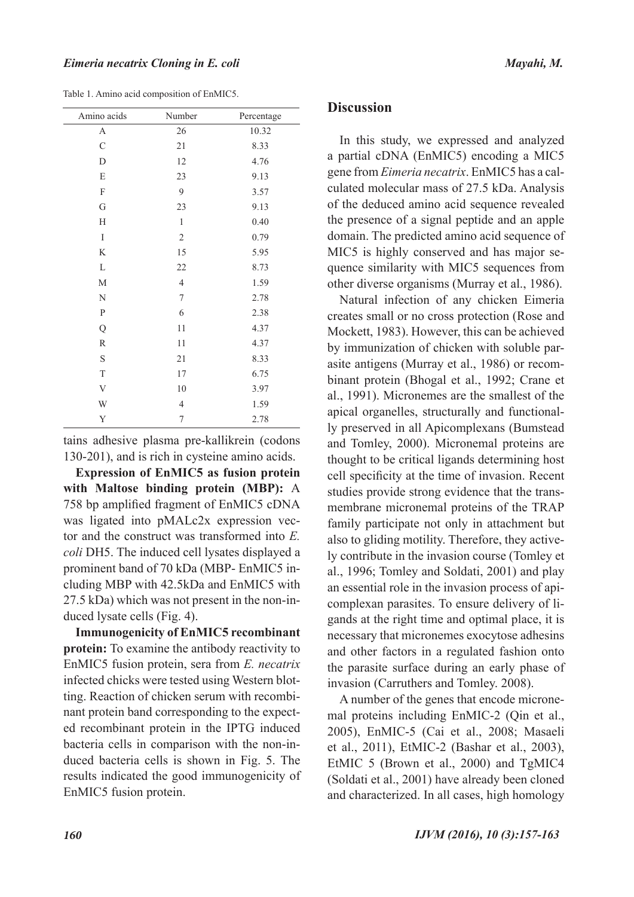| Amino acids   | Number           | Percentage |
|---------------|------------------|------------|
| A             | 26               | 10.32      |
| $\mathcal{C}$ | 21               | 8.33       |
| D             | 12               | 4.76       |
| E             | 23               | 9.13       |
| F             | 9                | 3.57       |
| G             | 23               | 9.13       |
| H             | $\mathbf{1}$     | 0.40       |
| I             | $\sqrt{2}$       | 0.79       |
| K             | 15               | 5.95       |
| L             | 22               | 8.73       |
| M             | $\overline{4}$   | 1.59       |
| N             | $\boldsymbol{7}$ | 2.78       |
| $\mathbf{P}$  | 6                | 2.38       |
| Q             | 11               | 4.37       |
| $\mathbb R$   | 11               | 4.37       |
| $\mathbf S$   | 21               | 8.33       |
| $\mathbf T$   | 17               | 6.75       |
| $\mathbf V$   | $10\,$           | 3.97       |
| W             | $\overline{4}$   | 1.59       |
| Y             | 7                | 2.78       |

Table 1. Amino acid composition of EnMIC5.

tains adhesive plasma pre-kallikrein (codons 130-201), and is rich in cysteine amino acids.

**Expression of EnMIC5 as fusion protein with Maltose binding protein (MBP):** A 758 bp amplified fragment of EnMIC5 cDNA was ligated into pMALc2x expression vector and the construct was transformed into *E. coli* DH5. The induced cell lysates displayed a prominent band of 70 kDa (MBP- EnMIC5 including MBP with 42.5kDa and EnMIC5 with 27.5 kDa) which was not present in the non-induced lysate cells (Fig. 4).

**Immunogenicity of EnMIC5 recombinant protein:** To examine the antibody reactivity to EnMIC5 fusion protein, sera from *E. necatrix* infected chicks were tested using Western blotting. Reaction of chicken serum with recombinant protein band corresponding to the expected recombinant protein in the IPTG induced bacteria cells in comparison with the non-induced bacteria cells is shown in Fig. 5. The results indicated the good immunogenicity of EnMIC5 fusion protein.

#### **Discussion**

In this study, we expressed and analyzed a partial cDNA (EnMIC5) encoding a MIC5 gene from *Eimeria necatrix*. EnMIC5 has a calculated molecular mass of 27.5 kDa. Analysis of the deduced amino acid sequence revealed the presence of a signal peptide and an apple domain. The predicted amino acid sequence of MIC5 is highly conserved and has major sequence similarity with MIC5 sequences from other diverse organisms (Murray et al., 1986).

Natural infection of any chicken Eimeria creates small or no cross protection (Rose and Mockett, 1983). However, this can be achieved by immunization of chicken with soluble parasite antigens (Murray et al., 1986) or recombinant protein (Bhogal et al., 1992; Crane et al., 1991). Micronemes are the smallest of the apical organelles, structurally and functionally preserved in all Apicomplexans (Bumstead and Tomley, 2000). Micronemal proteins are thought to be critical ligands determining host cell specificity at the time of invasion. Recent studies provide strong evidence that the transmembrane micronemal proteins of the TRAP family participate not only in attachment but also to gliding motility. Therefore, they actively contribute in the invasion course (Tomley et al., 1996; Tomley and Soldati, 2001) and play an essential role in the invasion process of apicomplexan parasites. To ensure delivery of ligands at the right time and optimal place, it is necessary that micronemes exocytose adhesins and other factors in a regulated fashion onto the parasite surface during an early phase of invasion (Carruthers and Tomley. 2008).

A number of the genes that encode micronemal proteins including EnMIC-2 (Qin et al., 2005), EnMIC-5 (Cai et al., 2008; Masaeli et al., 2011), EtMIC-2 (Bashar et al., 2003), EtMIC 5 (Brown et al., 2000) and TgMIC4 (Soldati et al., 2001) have already been cloned and characterized. In all cases, high homology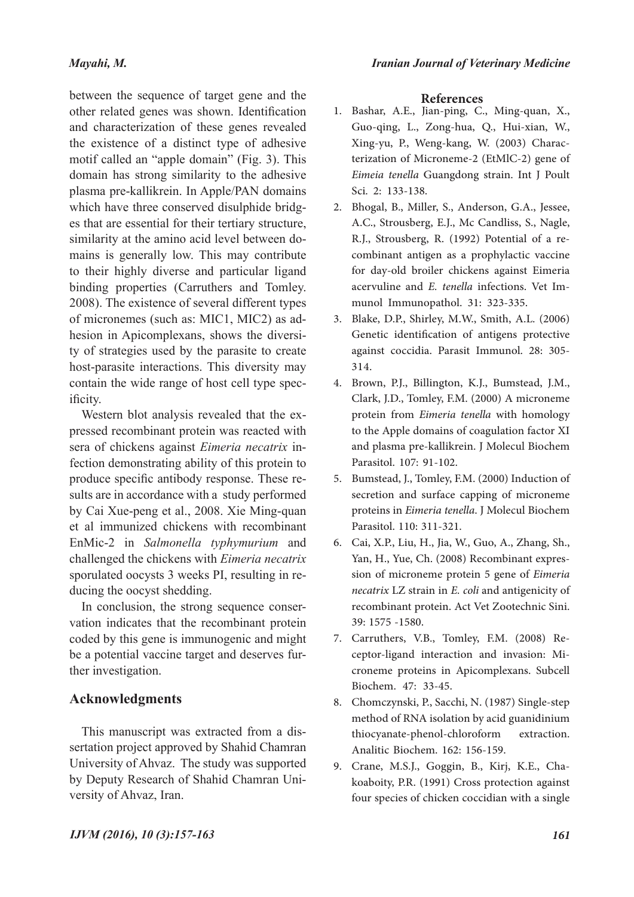#### *Mayahi, M.*

between the sequence of target gene and the other related genes was shown. Identification and characterization of these genes revealed the existence of a distinct type of adhesive motif called an "apple domain" (Fig. 3). This domain has strong similarity to the adhesive plasma pre-kallikrein. In Apple/PAN domains which have three conserved disulphide bridges that are essential for their tertiary structure, similarity at the amino acid level between domains is generally low. This may contribute to their highly diverse and particular ligand binding properties (Carruthers and Tomley. 2008). The existence of several different types of micronemes (such as: MIC1, MIC2) as adhesion in Apicomplexans, shows the diversity of strategies used by the parasite to create host-parasite interactions. This diversity may contain the wide range of host cell type specificity.

Western blot analysis revealed that the expressed recombinant protein was reacted with sera of chickens against *Eimeria necatrix* infection demonstrating ability of this protein to produce specific antibody response. These results are in accordance with a study performed by Cai Xue-peng et al., 2008. Xie Ming-quan et al immunized chickens with recombinant EnMic-2 in *Salmonella typhymurium* and challenged the chickens with *Eimeria necatrix* sporulated oocysts 3 weeks PI, resulting in reducing the oocyst shedding.

In conclusion, the strong sequence conservation indicates that the recombinant protein coded by this gene is immunogenic and might be a potential vaccine target and deserves further investigation.

## **Acknowledgments**

This manuscript was extracted from a dissertation project approved by Shahid Chamran University of Ahvaz. The study was supported by Deputy Research of Shahid Chamran University of Ahvaz, Iran.

#### **References**

- 1. Bashar, A.E., Jian-ping, C., Ming-quan, X., Guo-qing, L., Zong-hua, Q., Hui-xian, W., Xing-yu, P., Weng-kang, W. (2003) Charac- terization of Microneme-2 (EtMlC-2) gene of *Eimeia tenella* Guangdong strain. Int J Poult Sci. 2: 133-138.
- Bhogal, B., Miller, S., Anderson, G.A., Jessee, 2. A.C., Strousberg, E.J., Mc Candliss, S., Nagle, R.J., Strousberg, R. (1992) Potential of a re- combinant antigen as a prophylactic vaccine for day-old broiler chickens against Eimeria acervuline and *E. tenella* infections. Vet Im- munol Immunopathol. 31: 323-335.
- Blake, D.P., Shirley, M.W., Smith, A.L. (2006) 3. Genetic identification of antigens protective against coccidia. Parasit Immunol. 28: 305- 314.
- Brown, P.J., Billington, K.J., Bumstead, J.M., 4. Clark, J.D., Tomley, F.M. (2000) A microneme protein from *Eimeria tenella* with homology to the Apple domains of coagulation factor XI and plasma pre-kallikrein. J Molecul Biochem Parasitol. 107: 91-102.
- Bumstead, J., Tomley, F.M. (2000) Induction of 5. secretion and surface capping of microneme proteins in *Eimeria tenella*. J Molecul Biochem Parasitol. 110: 311-321.
- Cai, X.P., Liu, H., Jia, W., Guo, A., Zhang, Sh., 6. Yan, H., Yue, Ch. (2008) Recombinant expression of microneme protein 5 gene of *Eimeria necatrix* LZ strain in *E. coli* and antigenicity of recombinant protein. Act Vet Zootechnic Sini. 39: 1575 -1580.
- ceptor-ligand interaction and invasion: Mi-<br>croneme proteins in Apicomplexans. Subcell Biochem. 47: 33-45. 7. Carruthers, V.B., Tomley, F.M. (2008) Re-
- Chomczynski, P., Sacchi, N. (1987) Single-step 8. method of RNA isolation by acid guanidinium thiocyanate-phenol-chloroform extraction. Analitic Biochem. 162: 156-159.
- Crane, M.S.J., Goggin, B., Kirj, K.E., Cha-9. koaboity, P.R. (1991) Cross protection against four species of chicken coccidian with a single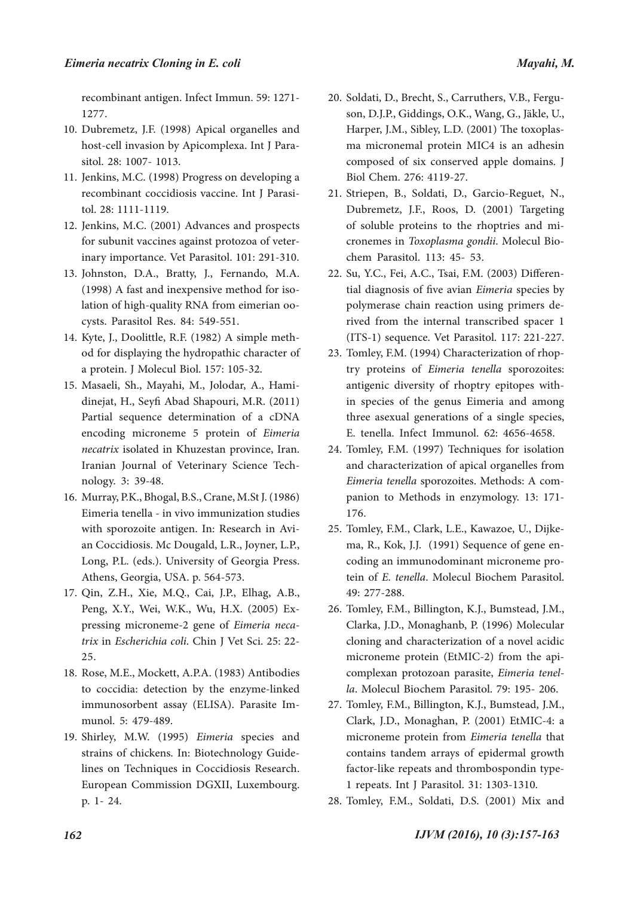recombinant antigen. Infect Immun. 59: 1271- 1277.

- 10. Dubremetz, J.F. (1998) Apical organelles and host-cell invasion by Apicomplexa. Int J Para-<br>sitol. 28: 1007- 1013.
- 11. Jenkins, M.C. (1998) Progress on developing a recombinant coccidiosis vaccine. Int J Parasi- tol. 28: 1111-1119.
- 12. Jenkins, M.C. (2001) Advances and prospects for subunit vaccines against protozoa of veter- inary importance. Vet Parasitol. 101: 291-310.
- 13. Johnston, D.A., Bratty, J., Fernando, M.A. (1998) A fast and inexpensive method for iso- lation of high-quality RNA from eimerian oo- cysts. Parasitol Res. 84: 549-551.
- od for displaying the hydropathic character of a protein. J Molecul Biol. 157: 105-32. 14. Kyte, J., Doolittle, R.F. (1982) A simple meth-
- dinejat, H., Seyfi Abad Shapouri, M.R. (2011) Partial sequence determination of a cDNA encoding microneme 5 protein of *Eimeria necatrix* isolated in Khuzestan province, Iran. Iranian Journal of Veterinary Science Tech- nology. 3: 39-48. 15. Masaeli, Sh., Mayahi, M., Jolodar, A., Hami-
- Murray, P.K., Bhogal, B.S., Crane, M.St J. (1986) 16. Eimeria tenella - in vivo immunization studies with sporozoite antigen. In: Research in Avi- an Coccidiosis. Mc Dougald, L.R., Joyner, L.P., Long, P.L. (eds.). University of Georgia Press. Athens, Georgia, USA. p. 564-573.
- 17. Qin, Z.H., Xie, M.Q., Cai, J.P., Elhag, A.B., Peng, X.Y., Wei, W.K., Wu, H.X. (2005) Expressing microneme-2 gene of *Eimeria necatrix* in *Escherichia coli*. Chin J Vet Sci. 25: 22-25.
- 18. Rose, M.E., Mockett, A.P.A. (1983) Antibodies to coccidia: detection by the enzyme-linked immunosorbent assay (ELISA). Parasite Im- munol. 5: 479-489.
- 19. Shirley, M.W. (1995) Eimeria species and strains of chickens. In: Biotechnology Guide- lines on Techniques in Coccidiosis Research. European Commission DGXII, Luxembourg. p. 1- 24.
- son, D.J.P., Giddings, O.K., Wang, G., Jäkle, U., Harper, J.M., Sibley, L.D. (2001) The toxoplas- ma micronemal protein MIC4 is an adhesin composed of six conserved apple domains. J Biol Chem. 276: 4119-27. 20. Soldati, D., Brecht, S., Carruthers, V.B., Fergu-
- 21. Striepen, B., Soldati, D., Garcio-Reguet, N., Dubremetz, J.F., Roos, D. (2001) Targeting of soluble proteins to the rhoptries and mi- cronemes in *Toxoplasma gondii*. Molecul Bio- chem Parasitol. 113: 45- 53.
- 22. Su, Y.C., Fei, A.C., Tsai, F.M. (2003) Differential diagnosis of five avian *Eimeria* species by polymerase chain reaction using primers de- rived from the internal transcribed spacer 1 (ITS-1) sequence. Vet Parasitol. 117: 221-227.
- try proteins of *Eimeria tenella* sporozoites: antigenic diversity of rhoptry epitopes with-<br>in species of the genus Eimeria and among three asexual generations of a single species, E. tenella. Infect Immunol. 62: 4656-4658. 23. Tomley, F.M. (1994) Characterization of rhop-
- 24. Tomley, F.M. (1997) Techniques for isolation and characterization of apical organelles from *Eimeria tenella* sporozoites. Methods: A companion to Methods in enzymology. 13: 171-176.
- 25. Tomley, F.M., Clark, L.E., Kawazoe, U., Dijke-<br>ma, R., Kok, J.J. (1991) Sequence of gene en-<br>coding an immunodominant microneme pro-<br>tein of *E. tenella*. Molecul Biochem Parasitol. 49: 277-288.
- 26. Tomley, F.M., Billington, K.J., Bumstead, J.M., Clarka, J.D., Monaghanb, P. (1996) Molecular cloning and characterization of a novel acidic microneme protein (EtMIC-2) from the api-<br>complexan protozoan parasite, *Eimeria tenel-*<br>*la*. Molecul Biochem Parasitol. 79: 195- 206.
- 27. Tomley, F.M., Billington, K.J., Bumstead, J.M., Clark, J.D., Monaghan, P. (2001) EtMIC-4: a microneme protein from *Eimeria tenella* that contains tandem arrays of epidermal growth factor-like repeats and thrombospondin type-1 repeats. Int J Parasitol. 31: 1303-1310.
- 28. Tomley, F.M., Soldati, D.S. (2001) Mix and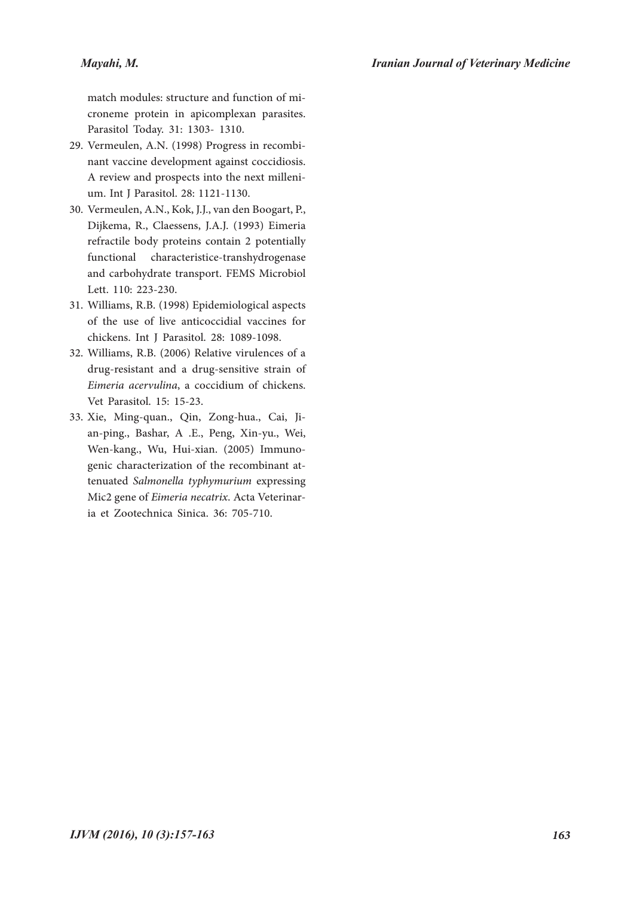#### *Mayahi, M.*

match modules: structure and function of mi- croneme protein in apicomplexan parasites. Parasitol Today. 31: 1303- 1310.

- nant vaccine development against coccidiosis. A review and prospects into the next milleni- um. Int J Parasitol. 28: 1121-1130. 29. Vermeulen, A.N. (1998) Progress in recombi-
- 30. Vermeulen, A.N., Kok, J.J., van den Boogart, P., Dijkema, R., Claessens, J.A.J. (1993) Eimeria refractile body proteins contain 2 potentially functional characteristice-transhydrogenase and carbohydrate transport. FEMS Microbiol Lett. 110: 223-230.
- Williams, R.B. (1998) Epidemiological aspects 31. of the use of live anticoccidial vaccines for chickens. Int J Parasitol. 28: 1089-1098.
- Williams, R.B. (2006) Relative virulences of a 32. drug-resistant and a drug-sensitive strain of *Eimeria acervulina*, a coccidium of chickens. Vet Parasitol. 15: 15-23.
- Xie, Ming-quan., Qin, Zong-hua., Cai, Ji- an-ping., Bashar, A .E., Peng, Xin-yu., Wei, 33. Wen-kang., Wu, Hui-xian. (2005) Immuno-<br>genic characterization of the recombinant at-<br>tenuated *Salmonella typhymurium* expressing Mic2 gene of *Eimeria necatrix*. Acta Veterinar- ia et Zootechnica Sinica. 36: 705-710.